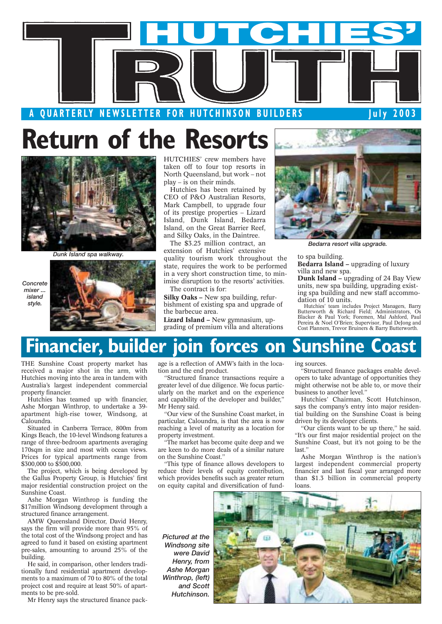

## **Return of the Resorts**



*Dunk Island spa walkway.*

*Concrete mixer ... island style.*



HUTCHIES' crew members have taken off to four top resorts in North Queensland, but work – not play – is on their minds.

Hutchies has been retained by CEO of P&O Australian Resorts, Mark Campbell, to upgrade four of its prestige properties – Lizard Island, Dunk Island, Bedarra Island, on the Great Barrier Reef, and Silky Oaks, in the Daintree.

The \$3.25 million contract, an extension of Hutchies' extensive quality tourism work throughout the state, requires the work to be performed in a very short construction time, to minimise disruption to the resorts' activities.

The contract is for:

**Silky Oaks –** New spa building, refurbishment of existing spa and upgrade of the barbecue area.

**Lizard Island –** New gymnasium, upgrading of premium villa and alterations



*Bedarra resort villa upgrade.*

#### to spa building.

**Bedarra Island –** upgrading of luxury villa and new spa.

**Dunk Island –** upgrading of 24 Bay View units, new spa building, upgrading existing spa building and new staff accommodation of 10 units.

Hutchies' team includes Project Managers, Barry Butterworth & Richard Field; Administrators, Os Blacker & Paul York; Foremen, Mal Ashford, Paul Pereira & Noel O'Brien; Supervisor, Paul DeJong and Cost Planners, Trevor Bruiners & Barry Butterworth.

### **Financier, builder join forces on Sunshine Coast**

THE Sunshine Coast property market has received a major shot in the arm, with Hutchies moving into the area in tandem with Australia's largest independent commercial property financier.

Hutchies has teamed up with financier, Ashe Morgan Winthrop, to undertake a 39 apartment high-rise tower, Windsong, at Caloundra.

Situated in Canberra Terrace, 800m from Kings Beach, the 10-level Windsong features a range of three-bedroom apartments averaging 170sqm in size and most with ocean views. Prices for typical apartments range from \$300,000 to \$500,000.

The project, which is being developed by the Gallus Property Group, is Hutchies' first major residential construction project on the Sunshine Coast.

Ashe Morgan Winthrop is funding the \$17million Windsong development through a structured finance arrangement.

AMW Queensland Director, David Henry, says the firm will provide more than 95% of the total cost of the Windsong project and has agreed to fund it based on existing apartment pre-sales, amounting to around 25% of the building.

He said, in comparison, other lenders traditionally fund residential apartment developments to a maximum of 70 to 80% of the total project cost and require at least 50% of apartments to be pre-sold.

Mr Henry says the structured finance pack-

age is a reflection of AMW's faith in the location and the end product.

"Structured finance transactions require a greater level of due diligence. We focus particularly on the market and on the experience and capability of the developer and builder," Mr Henry said.

"Our view of the Sunshine Coast market, in particular, Caloundra, is that the area is now reaching a level of maturity as a location for property investment.

"The market has become quite deep and we are keen to do more deals of a similar nature on the Sunshine Coast."

"This type of finance allows developers to reduce their levels of equity contribution, which provides benefits such as greater return on equity capital and diversification of funding sources.

"Structured finance packages enable developers to take advantage of opportunities they might otherwise not be able to, or move their business to another level."

Hutchies' Chairman, Scott Hutchinson, says the company's entry into major residential building on the Sunshine Coast is being driven by its developer clients.

"Our clients want to be up there," he said. "It's our first major residential project on the Sunshine Coast, but it's not going to be the last."

Ashe Morgan Winthrop is the nation's largest independent commercial property financier and last fiscal year arranged more than \$1.3 billion in commercial property

*Pictured at the Windsong site were David Henry, from Ashe Morgan Winthrop, (left) and Scott Hutchinson.*

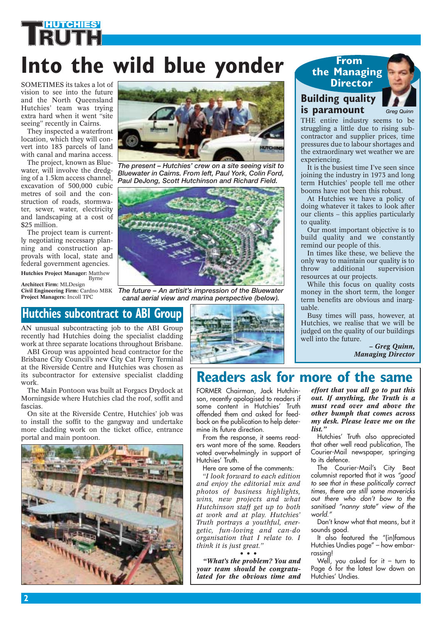# **Into the wild blue yonder**

SOMETIMES its takes a lot of vision to see into the future and the North Queensland Hutchies' team was trying extra hard when it went "site seeing" recently in Cairns.

**HUTCHIES'**

They inspected a waterfront location, which they will convert into 183 parcels of land with canal and marina access.

The project, known as Bluewater, will involve the dredging of a 1.5km access channel, excavation of 500,000 cubic metres of soil and the construction of roads, stormwater, sewer, water, electricity and landscaping at a cost of \$25 million.

The project team is currently negotiating necessary planning and construction approvals with local, state and federal government agencies. **Hutchies Project Manager:** Matthew Byrne

**Architect Firm:** MLDesign **Project Managers:** Incoll TPC

## **Hutchies subcontract to ABI Group**

AN unusual subcontracting job to the ABI Group recently had Hutchies doing the specialist cladding work at three separate locations throughout Brisbane.

ABI Group was appointed head contractor for the Brisbane City Council's new City Cat Ferry Terminal at the Riverside Centre and Hutchies was chosen as its subcontractor for extensive specialist cladding work.

The Main Pontoon was built at Forgacs Drydock at Morningside where Hutchies clad the roof, soffit and fascias.

On site at the Riverside Centre, Hutchies' job was to install the soffit to the gangway and undertake more cladding work on the ticket office, entrance portal and main pontoon.





*The present – Hutchies' crew on a site seeing visit to Bluewater in Cairns. From left, Paul York, Colin Ford, Paul DeJong, Scott Hutchinson and Richard Field.*



**Civil Engineering Firm:** Cardno MBK *The future – An artisit's impression of the Bluewater canal aerial view and marina perspective (below).*



### **Building quality is paramount Director**

**From the Managing** 



THE entire industry seems to be struggling a little due to rising subcontractor and supplier prices, time pressures due to labour shortages and the extraordinary wet weather we are experiencing.

It is the busiest time I've seen since joining the industry in 1973 and long term Hutchies' people tell me other booms have not been this robust.

At Hutchies we have a policy of doing whatever it takes to look after our clients – this applies particularly to quality.

Our most important objective is to build quality and we constantly remind our people of this.

In times like these, we believe the only way to maintain our quality is to<br>throw additional supervision supervision resources at our projects.

While this focus on quality costs money in the short term, the longer term benefits are obvious and inarguable.

Busy times will pass, however, at Hutchies, we realise that we will be judged on the quality of our buildings well into the future.

> *– Greg Quinn, Managing Director*

### **Readers ask for more of the same**

FORMER Chairman, Jack Hutchinson, recently apologised to readers if some content in Hutchies' Truth offended them and asked for feedback on the publication to help determine its future direction.

From the response, it seems readers want more of the same. Readers voted overwhelmingly in support of Hutchies' Truth.

Here are some of the comments:

*"I look forward to each edition and enjoy the editorial mix and photos of business highlights, wins, new projects and what Hutchinson staff get up to both at work and at play. Hutchies' Truth portrays a youthful, energetic, fun-loving and can-do organisation that I relate to. I think it is just great."*

*•••*

*"What's the problem? You and your team should be congratulated for the obvious time and*

*effort that you all go to put this out. If anything, the Truth is a must read over and above the other bumph that comes across my desk. Please leave me on the list."* 

Hutchies' Truth also appreciated that other well read publication, The Courier-Mail newspaper, springing to its defence.

The Courier-Mail's City Beat columnist reported that it was *"good to see that in these politically correct times, there are still some mavericks out there who don't bow to the sanitised "nanny state" view of the world."* 

Don't know what that means, but it sounds good.

It also featured the "(in)famous Hutchies Undies page" – how embarrassing!

Well, you asked for it – turn to Page 6 for the latest low down on Hutchies' Undies.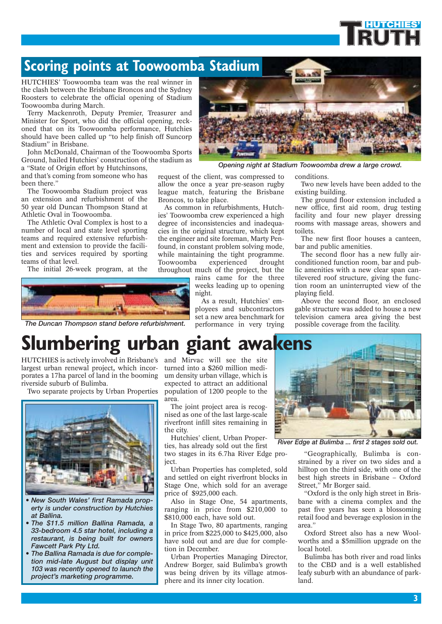### **Scoring points at Toowoomba Stadium**

HUTCHIES' Toowoomba team was the real winner in the clash between the Brisbane Broncos and the Sydney Roosters to celebrate the official opening of Stadium Toowoomba during March.

Terry Mackenroth, Deputy Premier, Treasurer and Minister for Sport, who did the official opening, reckoned that on its Toowoomba performance, Hutchies should have been called up "to help finish off Suncorp Stadium" in Brisbane.

John McDonald, Chairman of the Toowoomba Sports Ground, hailed Hutchies' construction of the stadium as

a "State of Origin effort by Hutchinsons, and that's coming from someone who has been there."

The Toowoomba Stadium project was an extension and refurbishment of the 50 year old Duncan Thompson Stand at Athletic Oval in Toowoomba.

The Athletic Oval Complex is host to a number of local and state level sporting teams and required extensive refurbishment and extension to provide the facilities and services required by sporting teams of that level.

The initial 26-week program, at the



*The Duncan Thompson stand before refurbishment.*



*Opening night at Stadium Toowoomba drew a large crowd.*

request of the client, was compressed to allow the once a year pre-season rugby league match, featuring the Brisbane Broncos, to take place.

As common in refurbishments, Hutchies' Toowoomba crew experienced a high degree of inconsistencies and inadequacies in the original structure, which kept the engineer and site foreman, Marty Penfound, in constant problem solving mode, while maintaining the tight programme. Toowoomba experienced drought

throughout much of the project, but the rains came for the three weeks leading up to opening night.

> As a result, Hutchies' employees and subcontractors set a new area benchmark for performance in very trying

#### conditions.

Two new levels have been added to the existing building.

**HUTCHIES'**

The ground floor extension included a new office, first aid room, drug testing facility and four new player dressing rooms with massage areas, showers and toilets.

The new first floor houses a canteen, bar and public amenities.

The second floor has a new fully airconditioned function room, bar and public amenities with a new clear span cantilevered roof structure, giving the function room an uninterrupted view of the playing field.

Above the second floor, an enclosed gable structure was added to house a new television camera area giving the best possible coverage from the facility.

## **Slumbering urban giant awakens**

HUTCHIES is actively involved in Brisbane's and Mirvac will see the site largest urban renewal project**,** which incorporates a 17ha parcel of land in the booming riverside suburb of Bulimba.

Two separate projects by Urban Properties



- *New South Wales' first Ramada property is under construction by Hutchies at Ballina.*
- *The \$11.5 million Ballina Ramada, a 33-bedroom 4.5 star hotel, including a restaurant, is being built for owners Fawcett Park Pty Ltd.*
- *The Ballina Ramada is due for completion mid-late August but display unit 103 was recently opened to launch the project's marketing programme.*

turned into a \$260 million medium density urban village, which is expected to attract an additional population of 1200 people to the area.

The joint project area is recognised as one of the last large-scale riverfront infill sites remaining in the city.

Hutchies' client, Urban Properties, has already sold out the first

two stages in its 6.7ha River Edge project.

Urban Properties has completed, sold and settled on eight riverfront blocks in Stage One, which sold for an average price of \$925,000 each.

Also in Stage One, 54 apartments, ranging in price from \$210,000 to \$810,000 each, have sold out.

In Stage Two, 80 apartments, ranging in price from \$225,000 to \$425,000, also have sold out and are due for completion in December.

Urban Properties Managing Director, Andrew Borger, said Bulimba's growth was being driven by its village atmosphere and its inner city location.



*River Edge at Bulimba ... first 2 stages sold out.*

"Geographically, Bulimba is constrained by a river on two sides and a hilltop on the third side, with one of the best high streets in Brisbane – Oxford Street," Mr Borger said.

"Oxford is the only high street in Brisbane with a cinema complex and the past five years has seen a blossoming retail food and beverage explosion in the area."

Oxford Street also has a new Woolworths and a \$5million upgrade on the local hotel.

Bulimba has both river and road links to the CBD and is a well established leafy suburb with an abundance of parkland.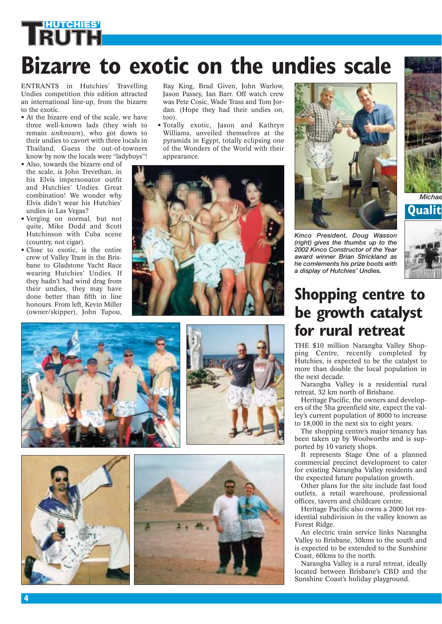# **HUTCHIES' Bizarre to exotic on the undies scale**

ENTRANTS in Hutchies' Travelling Undies competition this edition attracted an international line-up, from the bizarre to the exotic.

- At the bizarre end of the scale, we have three well-known lads (they wish to remain *unknown*), who got down to their undies to cavort with three locals in Thailand. Guess the out-of-towners know by now the locals were "ladyboys"!
- Also, towards the bizarre end of the scale, is John Trevethan, in his Elvis impersonator outfit and Hutchies' Undies. Great combination! We wonder why Elvis didn't wear his Hutchies' undies in Las Vegas?
- Verging on normal, but not quite, Mike Dodd and Scott Hutchinson with Cuba scene (country, not cigar).
- Close to exotic, is the entire crew of Valley Tram in the Brisbane to Gladstone Yacht Race wearing Hutchies' Undies. If they hadn't had wind drag from their undies, they may have done better than fifth in line honours. From left, Kevin Miller (owner/skipper), John Tupou,

Ray King, Brad Given, John Warlow, Jason Passey, Ian Barr. Off watch crew was Pete Cosic, Wade Trass and Tom Jordan. (Hope they had their undies on, too).

• Totally exotic, Jason and Kathryn Williams, unveiled themselves at the pyramids in Egypt, totally eclipsing one of the Wonders of the World with their appearance.













*Kinco President, Doug Wasson (right) gives the thumbs up to the 2002 Kinco Constructor of the Year award winner Brian Strickland as he comlements his prize boots with a display of Hutchies' Undies.* 



*Michae* **Quality**



### **Shopping centre to be growth catalyst for rural retreat**

THE \$10 million Narangba Valley Shopping Centre, recently completed by Hutchies, is expected to be the catalyst to more than double the local population in the next decade.

Narangba Valley is a residential rural retreat, 32 km north of Brisbane.

Heritage Pacific, the owners and developers of the 5ha greenfield site, expect the valley's current population of 8000 to increase to 18,000 in the next six to eight years.

The shopping centre's major tenancy has been taken up by Woolworths and is supported by 10 variety shops.

It represents Stage One of a planned commercial precinct development to cater for existing Narangba Valley residents and the expected future population growth.

Other plans for the site include fast food outlets, a retail warehouse, professional offices, tavern and childcare centre.

Heritage Pacific also owns a 2000 lot residential subdivision in the valley known as Forest Ridge.

An electric train service links Narangba Valley to Brisbane, 30kms to the south and is expected to be extended to the Sunshine Coast, 60kms to the north.

Narangba Valley is a rural retreat, ideally located between Brisbane's CBD and the Sunshine Coast's holiday playground.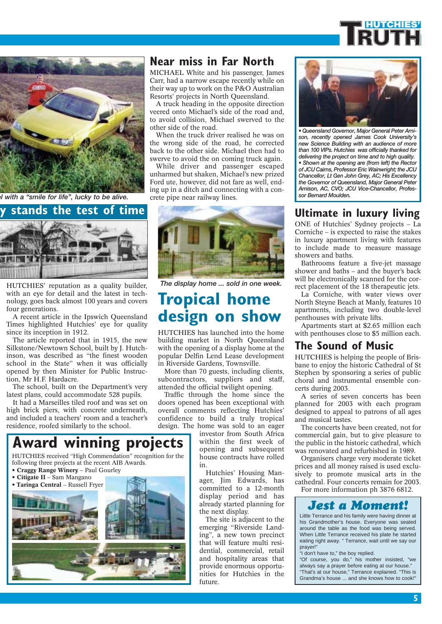



*el with a "smile for life", lucky to be alive.* crete pipe near railway lines.



HUTCHIES' reputation as a quality builder, with an eye for detail and the latest in technology, goes back almost 100 years and covers four generations.

A recent article in the Ipswich Queensland Times highlighted Hutchies' eye for quality since its inception in 1912.

The article reported that in 1915, the new Silkstone/Newtown School, built by J. Hutchinson, was described as "the finest wooden school in the State" when it was officially opened by then Minister for Public Instruction, Mr H.F. Hardacre.

The school, built on the Department's very latest plans, could accommodate 528 pupils.

It had a Marseilles tiled roof and was set on high brick piers, with concrete underneath, and included a teachers' room and a teacher's residence, roofed similarly to the school.

#### HUTCHIES received "High Commendation" recognition for the following three projects at the recent AIB Awards. **Award winning projects**

• **Craggy Range Winery** – Paul Gourley



#### **Near miss in Far North**

MICHAEL White and his passenger, James Carr, had a narrow escape recently while on their way up to work on the P&O Australian Resorts' projects in North Queensland.

A truck heading in the opposite direction veered onto Michael's side of the road and, to avoid collision, Michael swerved to the other side of the road.

When the truck driver realised he was on the wrong side of the road, he corrected back to the other side. Michael then had to swerve to avoid the on coming truck again.

While driver and passenger escaped unharmed but shaken, Michael's new prized Ford ute, however, did not fare as well, ending up in a ditch and connecting with a con-



*The display home ... sold in one week.*

### **Tropical home design on show**

HUTCHIES has launched into the home building market in North Queensland with the opening of a display home at the popular Delfin Lend Lease development in Riverside Gardens, Townsville.

More than 70 guests, including clients, subcontractors, suppliers and staff, attended the official twilight opening.

Traffic through the home since the doors opened has been exceptional with overall comments reflecting Hutchies' confidence to build a truly tropical design. The home was sold to an eager

investor from South Africa within the first week of opening and subsequent house contracts have rolled in.

Hutchies' Housing Manager, Jim Edwards, has committed to a 12-month display period and has already started planning for the next display.

The site is adjacent to the emerging "Riverside Landing", a new town precinct that will feature multi residential, commercial, retail and hospitality areas that provide enormous opportunities for Hutchies in the future.



*• Queensland Governor, Major General Peter Arnison, recently opened James Cook University's new Science Building with an audience of more than 100 VIPs. Hutchies was officially thanked for delivering the project on time and to high quality. • Shown at the opening are (from left) the Rector of JCU Cairns, Professor Eric Wainwright; the JCU Chancellor, Lt Gen John Grey, AC; His Excellency the Governor of Queensland, Major General Peter Arnison, AC, CVO; JCU Vice-Chancellor, Professor Bernard Moulden.*

ONE of Hutchies' Sydney projects – La Corniche – is expected to raise the stakes in luxury apartment living with features to include made to measure massage showers and baths.

Bathrooms feature a five-jet massage shower and baths – and the buyer's back will be electronically scanned for the correct placement of the 18 therapeutic jets.

La Corniche, with water views over North Steyne Beach at Manly, features 10 apartments, including two double-level penthouses with private lifts.

Apartments start at \$2.65 million each with penthouses close to \$5 million each.

#### **The Sound of Music**

HUTCHIES is helping the people of Brisbane to enjoy the historic Cathedral of St Stephen by sponsoring a series of public choral and instrumental ensemble concerts during 2003.

A series of seven concerts has been planned for 2003 with each program designed to appeal to patrons of all ages and musical tastes.

The concerts have been created, not for commercial gain, but to give pleasure to the public in the historic cathedral, which was renovated and refurbished in 1989.

Organisers charge very moderate ticket prices and all money raised is used exclusively to promote musical arts in the cathedral. Four concerts remain for 2003.

For more information ph 3876 6812.



Little Terrance and his family were having dinner at his Grandmother's house. Everyone was seated around the table as the food was being served. When Little Terrance received his plate he started eating right away. " Terrance, wait until we say our prayer!"

"I don't have to," the boy replied.

"Of course, you do," his mother insisted, "we always say a prayer before eating at our house." "That's at our house," Terrance explained. "This is Grandma's house ... and she knows how to cook!"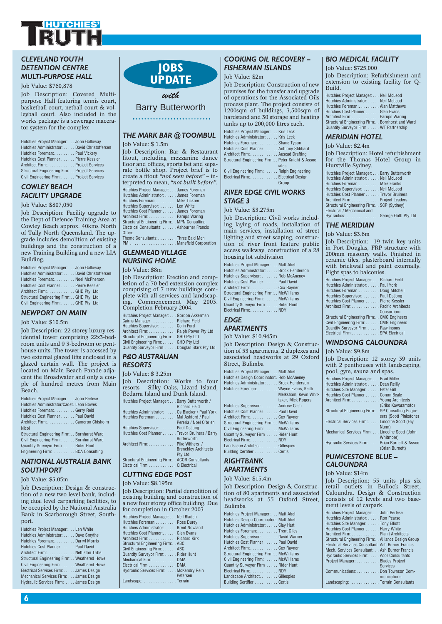

#### *CLEVELAND YOUTH DETENTION CENTRE MULTI-PURPOSE HALL*

Job Value: \$760,878

Job Description: Covered Multipurpose Hall featuring tennis court, basketball court, netball court & volleyball court. Also included in the works package is a sewerage macerator system for the complex

| Hutchies Project Manager: John Galloway       |  |
|-----------------------------------------------|--|
| Hutchies Administrator: David Christoffersen  |  |
| Hutchies Foreman: Paul Vickery                |  |
| Hutchies Cost Planner Pierre Kessler          |  |
| Architect Firm:Project Services               |  |
| Structural Engineering Firm: Project Services |  |
| Civil Engineering Firm: Project Services      |  |

#### *COWLEY BEACH FACILITY UPGRADE* Job Value: \$807,050

Job Description: Facility upgrade to the Dept of Defence Training Area at Cowley Beach approx. 40kms North of Tully North Queensland. The upgrade includes demolition of existing buildings and the construction of a

| Building.                                     |
|-----------------------------------------------|
| Hutchies Project Manager: John Galloway       |
| Hutchies Administrator: David Christoffersen  |
| Hutchies Foreman: Noel McPherson              |
| Hutchies Cost Planner Pierre Kessler          |
| Architect Firm: GHD Pty. Ltd                  |
| Structural Engineering Firm:. . GHD Ptv. Ltd. |
| Civil Engineering Firm: GHD Pty. Ltd          |

new Training Building and a new LIA

#### *NEWPORT ON MAIN*

Job Value: \$10.5m

Job Description: 22 storey luxury residential tower comprising 22x3-bedroom units and 9 3-bedroom or penthouse units. The tower is accessed by two external glazed lifts enclosed in a glazed curtain wall. The project is located on Main Beach Parade adjacent the Broadwater and only a couple of hundred metres from Main Beach.

| Hutchies Project Manager: John Berlese         |
|------------------------------------------------|
| Hutchies Administrator/Cadet. Leon Bowes       |
| Hutchies Foreman: Gerry Reid                   |
| Hutchies Cost Planner Paul David               |
| Architect Firm: Cameron Chisholm               |
| <b>Nicol</b>                                   |
| Structural Engineering Firm:. . Bornhorst Ward |
| Civil Engineering Firm: Bornhorst Ward         |
| Quantity Surveyor Firm Rider Hunt              |
| Engineering Firm: BCA Consulting               |

#### *NATIONAL AUSTRALIA BANK SOUTHPORT*

#### Job Value: \$3.05m

Job Description: Design & construction of a new two level bank, including dual level carparking facilities, to be occupied by the National Australia Bank in Scarborough Street, Southport.

| Hutchies Project Manager: Len White            |
|------------------------------------------------|
| Hutchies Administrator: Dave Smythe            |
| Hutchies Foreman:Darryl Morris                 |
| Hutchies Cost Planner Paul David               |
| Architect Firm:. Nettleton Tribe               |
| Structural Engineering Firm:. . Weathered Howe |
| Civil Engineering Firm: Weathered Howe         |
| Electrical Services Firm: James Design         |
| Mechanical Services Firm: James Design         |
| Hydraulic Services Firm:  James Design         |



#### *with* Barry Butterworth

#### *THE MARK BAR @ TOOMBUL*

#### Job Value: \$ 1.5m

Job Description: Bar & Restaurant fitout, including mezzanine dance floor and offices, sports bet and separate bottle shop. Project brief is to create a fitout *"not seen before"* – interpreted to mean, *"not built before".*

| Hutchies Project Manager: James Foreman        |
|------------------------------------------------|
| Hutchies Administrator: James Foreman          |
| Hutchies Foreman: Mike Tickner                 |
| Hutchies Supervisor: Len White                 |
| Hutchies Cost Planner James Foreman            |
| Architect Firm: Parups Waring                  |
| Structural Engineering Firm:. . MPN Consulting |
| Electrical Consultants: Ashburner Francis      |
| Other:                                         |
| Thoma Conquitantes<br>Throp Dold Mon           |

Theme Consultants: . . . . . . . . Three Bald Men PM . . . . . . . . . . . . . . . . . . . . Mansfield Corporation

#### *GLENMEAD VILLAGE NURSING HOME*

Job Value: \$8m

Job Description: Erection and completion of a 70 bed extension complex comprising of 7 new buildings complete with all services and landscaping. Commencement May 2003. Completion February 2004.

| Hutchies Project Manager: Gordon Akkerman    |  |
|----------------------------------------------|--|
| Cairns Manager  Richard Field                |  |
| Hutchies Supervisor: Colin Ford              |  |
| Architect Firm: Ralph Power Pty Ltd          |  |
| Structural Engineering Firm: . GHD Pty Ltd   |  |
| Civil Engineering Firm: GHD Pty Ltd          |  |
| Quantity Surveyor Firm Douglas Stark Pty Ltd |  |

#### *P&O AUSTRALIAN RESORTS*

#### Job Value: \$ 3.25m

Job Description: Works to four resorts – Silky Oaks, Lizard Island, Bedarra Island and Dunk Island. Hutchies Project Manager: . . . Barry Butterworth / Richard Field Hutchies Administrator: . . . . Os Blacker / Paul York

| Hutchies Foreman: Mal Ashford / Paul          |
|-----------------------------------------------|
| Pereria / Noel O'brien                        |
| Hutchies Supervisor: Paul DeJong              |
| Hutchies Cost Planner Trevor Bruiners / Barry |
| <b>Butterworth</b>                            |
| Architect Firm:Pike Withers /                 |
| <b>Brenchley Architects</b>                   |
| Pty Ltd                                       |
| Structural Engineering Firm: ACOR Consultants |
|                                               |

#### Electrical Firm . . . . . . . . . . . . Q Electrical *CUTTING EDGE POST*

#### Job Value: \$8.195m

Job Description: Partial demolition of existing building and construction of a new four storey office building. Due for completion in October 2003

| Hutchies Project Manager: Neil Bladen  |
|----------------------------------------|
| Hutchies Foreman: Ross Durey           |
| Hutchies Administrator: Brent Nowland  |
| Hutchies Cost Planner:Glen Evans       |
| Architect Firm:Richard Kirk            |
| Structural Engineering Firm:ABC        |
| Civil Engineering Firm: ABC            |
| Quantity Surveyor Firm: Rider Hunt     |
| Mechanical Firm: DMA                   |
| Electrical Firm:DMA                    |
| Hydraulic Services Firm: McKendry Rein |
| Petersen                               |
| Landscape: Terrain                     |

#### *COOKING OIL RECOVERY – FISHERMAN ISLANDS*

#### Job Value: \$2m

Job Description: Construction of new premises for the transfer and upgrade of operations for the Associated Oils process plant. The project consists of 1200sqm of buildings, 3,500sqm of hardstand and 30 storage and heating tanks up to 200,000 litres each.

| Hutchies Project Manager: Kris Leck                |  |
|----------------------------------------------------|--|
| Hutchies Administrator: Kris Leck                  |  |
| Hutchies Foreman: Shane Tyson                      |  |
| Hutchies Cost Planner Anthony Stibbard             |  |
| Architect Firm: Auscad Drafting                    |  |
| Structural Engineering Firm: Peter Knight & Assoc- |  |
| iates                                              |  |
| Civil Engineering Firm: Ralph Engineering          |  |
| Electrical Firm: Electrical Design                 |  |
| Group                                              |  |

#### *RIVER EDGE CIVIL WORKS STAGE 3*

#### Job Value: \$3.275m

Job Description: Civil works including laying of roads, installation of main services, installation of street lighting and street scaping, construction of river front feature public access walkway, construction of a 28 housing lot subdivision

| Hutchies Project Manager: Matt Abel     |
|-----------------------------------------|
| Hutchies Administrator: Brock Henderson |
| Hutchies Supervisor: Rob McAneney       |
| Hutchies Cost Planner Paul David        |
| Architect Firm:. Cox Rayner             |
| Structural Engineering Firm: McWilliams |
| Civil Engineering Firm:McWilliams       |
| Quantity Survevor Firm Rider Hunt       |
| Electrical Firm:NDY                     |
|                                         |

#### *EDGE*

#### *APARTMENTS*

Job Value: \$10.945m

Job Description: Design & Construction of 53 apartments, 2 duplexes and associated headworks at 29 Oxford Street, Bulimba Hutchies Project Manager: . . . Matt Abel Hutchies Design Coordinator:. Rob McAneney Hutchies Administrator: . . . . . Brock Henderson Hutchies Foreman:. . . . . . . . . Wayne Evans, Keith

|                                         | Melksham, Kevin Whit- |
|-----------------------------------------|-----------------------|
|                                         | taker, Mick Rogers    |
| Hutchies Supervisor: Andrew Cash        |                       |
| Hutchies Cost Planner Paul David        |                       |
| Architect Firm: Cox Rayner              |                       |
| Structural Engineering Firm: McWilliams |                       |
| Civil Engineering Firm: McWilliams      |                       |
| Quantity Surveyor Firm Rider Hunt       |                       |
| Electrical Firm: NDY                    |                       |
| Landscape Architect. Gillespies         |                       |
| Building Certifier Certis               |                       |
|                                         |                       |

#### *RIGHTBANK APARTMENTS*

#### Job Value: \$15.4m

Job Description: Design & Construction of 80 apartments and associated headworks at 55 Oxford Street, Bulimba Hutchies Project Manager: . . . Matt Abel Hutchies Design Coordinator:. Matt Abel Hutchies Administrator: . . . . . Clay Hart Hutchies Foreman:. . . . . . . . . Trent Giles Hutchies Supervisor: . . . . . . . David Warner Hutchies Cost Planner . . . . . . Paul David Architect Firm:. . . . . . . . . . . . Cox Rayner Structural Engineering Firm:. . McWilliams Civil Engineering Firm: . . . . . . McWilliams Quantity Surveyor Firm . . . . . Rider Hunt Electrical Firm:. . . . . . . . . . . . NDY Landscape Architect. . . . . . . . Gillespies

Building Certifier . . . . . . . . . . Certis

#### *BIO MEDICAL FACILITY*

Job Value: \$725,000 Job Description: Refurbishment and extension to existing facility for Q-Build.

| Hutchies Project Manager: Neil McLeod              |  |
|----------------------------------------------------|--|
| Hutchies Administrator: Neil McLeod                |  |
| Hutchies Foreman: Alan Matthews                    |  |
| Hutchies Cost Planner Glen Evans                   |  |
| Architect Firm:Parups Waring                       |  |
| Structural Engineering Firm:. . Bornhorst and Ward |  |
| Quantity Surveyor Firm WT Partnership              |  |

#### *MERIDIAN HOTEL*

Job Value: \$2.4m

Job Description: Hotel refurbishment for the Thomas Hotel Group in Hurstville Sydney.

| Hutchies Project Manager: Barry Butterworth |
|---------------------------------------------|
| Hutchies Administrator: Neil McLeod         |
| Hutchies Foreman: Mike Franks               |
| Hutchies Supervisor: Neil McLeod            |
| Hutchies Cost Planner Trevor Bruiners       |
| Architect Firm: Project Leaders             |
| Structural Engineering Firm: SCP (Sydney)   |
| Electrical / Mechanical and                 |
|                                             |

Hydraulics: . . . . . . . . . . . . . . George Floth Pty Ltd

#### *THE MERIDIAN*

Job Value: \$3.6m

Job Description: 19 twin key units in Port Douglas, FRP structure with 200mm masonry walls. Finished in ceramic tiles, plasterboard internally with brickwall and paint externally. Eight spas to balconies.

| Hutchies Project Manager: Richard Field       |
|-----------------------------------------------|
| Hutchies Administrator: Paul York             |
| Hutchies Foreman:Doug Mitchell                |
| Hutchies Supervisor: Paul DeJong              |
| Hutchies Cost Planner Pierre Kessler          |
| Architect Firm: Pacific Architects            |
| Consortium                                    |
| Structural Engineering Firm:. . CMG Engineers |
| Civil Engineering Firm: CMG Engineers         |
| Quantity Surveyor Firm: Rawlinsons            |
| Electrical Firm:SPA Electrical                |

#### *WINDSONG CALOUNDRA*

Job Value: \$9.8m

Job Description: 12 storey 39 units with 2 penthouses with landscaping, pool, gym, sauna and spas.

| Hutchies Project Manager: Brad Miller             |                        |
|---------------------------------------------------|------------------------|
| Hutchies Administrator: Dean Reilly               |                        |
| Hutchies Site Manager:  Peter Gill                |                        |
| Hutchies Cost Planner Conon Beale                 |                        |
| Architect Firm: Young Architects                  |                        |
|                                                   | (Eriko Kawaramoto)     |
| Structural Engineering Firm: SP Consulting Engin- |                        |
|                                                   | eers (Scott Pinkstone) |
| Electrical Services Firm: Lincolne Scott (Fay     |                        |
|                                                   | Nunn)                  |
| Mechanical Services Firm: Lincolne Scott (John    |                        |
|                                                   | Whitmore)              |
| Hydraulic Services Firm: Brian Burnett & Assoc    |                        |
|                                                   | (Brian Burnett)        |

#### *PUMICESTONE BLUE – CALOUNDRA*

Job Value: \$14m

Job Description: 53 units plus six retail outlets in Bullock Street, Caloundra. Design & Construction consists of 12 levels and two basement levels of carpark.

| Hutchies Project Manager: John Berlese             |
|----------------------------------------------------|
| Hutchies Administrator: Ron Pearse                 |
| Hutchies Site Manager:  Tony Elliott               |
| Hutchies Cost Planner Harry White                  |
| Architect Firm: Planit Architects                  |
| Structural Engineering Firm: Alliance Design Group |
| Electrical Services Consultant: Ash Burner Francis |
| Mech. Services Consultant: Ash Burner Francis      |
| Hydraulic Services Firm: Acor Consultants          |
| Project Manager: Blades Project                    |
| <b>Services</b>                                    |
| Communications:Don Townson Com-                    |
| munications                                        |
| Landscaping: Terrain Consultants                   |
|                                                    |

**6**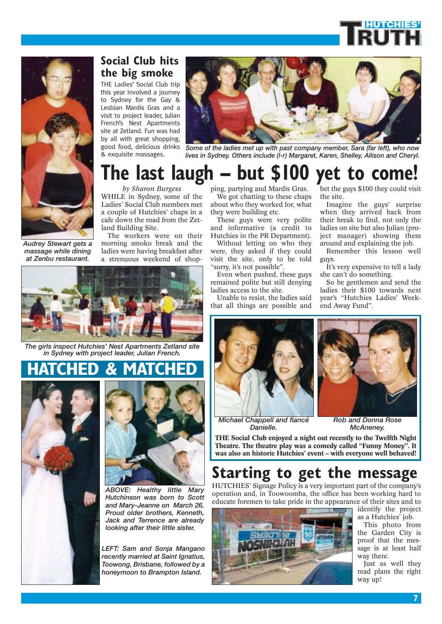



*Audrey Stewart gets a massage while dining at Zenbu restaurant.*

**Social Club hits the big smoke**

THE Ladies' Social Club trip this year involved a journey to Sydney for the Gay & Lesbian Mardis Gras and a visit to project leader, Julian French's Nest Apartments site at Zetland. Fun was had by all with great shopping, good food, delicious drinks & exquisite massages.



*Some of the ladies met up with past company member, Sara (far left), who now lives in Sydney. Others include (l-r) Margaret, Karen, Shelley, Allison and Cheryl.*

## **The last laugh – but \$100 yet to come!**

*by Sharon Burgess* WHILE in Sydney, some of the Ladies' Social Club members met a couple of Hutchies' chaps in a cafe down the road from the Zetland Building Site.

The workers were on their morning smoko break and the ladies were having breakfast after a strenuous weekend of shop-



*The girls inspect Hutchies' Nest Apartments Zetland site in Sydney with project leader, Julian French.*

### **HATCHED & MATCHED**





*ABOVE: Healthy little Mary Hutchinson was born to Scott and Mary-Jeanne on March 26. Proud older brothers, Kenneth, Jack and Terrence are already looking after their little sister.*

*LEFT: Sam and Sonja Mangano recently married at Saint Ignatius, Toowong, Brisbane, followed by a honeymoon to Brampton Island.*

ping, partying and Mardis Gras. We got chatting to these chaps about who they worked for, what they were building etc.

These guys were very polite and informative (a credit to Hutchies in the PR Department).

Without letting on who they were, they asked if they could visit the site, only to be told "sorry, it's not possible".

Even when pushed, these guys remained polite but still denying ladies access to the site.

Unable to resist, the ladies said that all things are possible and

bet the guys \$100 they could visit the site.

Imagine the guys' surprise when they arrived back from their break to find, not only the ladies on site but also Julian (project manager) showing them around and explaining the job.

Remember this lesson well guys.

It's very expensive to tell a lady she can't do something.

So be gentlemen and send the ladies their \$100 towards next year's "Hutchies Ladies' Weekend Away Fund".



*Michael Chappell and fiancé Danielle.* 



*Rob and Donna Rose McAneney.*

**THE Social Club enjoyed a night out recently to the Twelfth Night Theatre. The theatre play was a comedy called "Funny Money". It was also an historic Hutchies' event – with everyone well behaved!**

### **Starting to get the message**

HUTCHIES' Signage Policy is a very important part of the company's operation and, in Toowoomba, the office has been working hard to educate foremen to take pride in the appearance of their sites and to



identify the project as a Hutchies' job.

This photo from the Garden City is proof that the message is at least half way there.

Just as well they read plans the right way up!